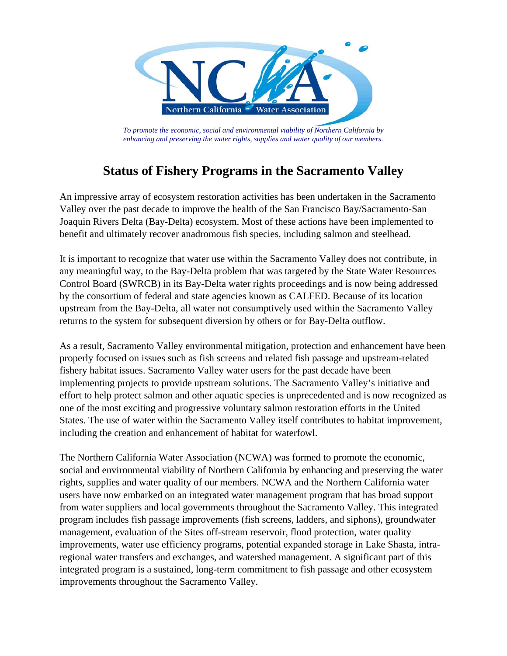

*To promote the economic, social and environmental viability of Northern California by enhancing and preserving the water rights, supplies and water quality of our members.* 

# **Status of Fishery Programs in the Sacramento Valley**

An impressive array of ecosystem restoration activities has been undertaken in the Sacramento Valley over the past decade to improve the health of the San Francisco Bay/Sacramento-San Joaquin Rivers Delta (Bay-Delta) ecosystem. Most of these actions have been implemented to benefit and ultimately recover anadromous fish species, including salmon and steelhead.

It is important to recognize that water use within the Sacramento Valley does not contribute, in any meaningful way, to the Bay-Delta problem that was targeted by the State Water Resources Control Board (SWRCB) in its Bay-Delta water rights proceedings and is now being addressed by the consortium of federal and state agencies known as CALFED. Because of its location upstream from the Bay-Delta, all water not consumptively used within the Sacramento Valley returns to the system for subsequent diversion by others or for Bay-Delta outflow.

As a result, Sacramento Valley environmental mitigation, protection and enhancement have been properly focused on issues such as fish screens and related fish passage and upstream-related fishery habitat issues. Sacramento Valley water users for the past decade have been implementing projects to provide upstream solutions. The Sacramento Valley's initiative and effort to help protect salmon and other aquatic species is unprecedented and is now recognized as one of the most exciting and progressive voluntary salmon restoration efforts in the United States. The use of water within the Sacramento Valley itself contributes to habitat improvement, including the creation and enhancement of habitat for waterfowl.

The Northern California Water Association (NCWA) was formed to promote the economic, social and environmental viability of Northern California by enhancing and preserving the water rights, supplies and water quality of our members. NCWA and the Northern California water users have now embarked on an integrated water management program that has broad support from water suppliers and local governments throughout the Sacramento Valley. This integrated program includes fish passage improvements (fish screens, ladders, and siphons), groundwater management, evaluation of the Sites off-stream reservoir, flood protection, water quality improvements, water use efficiency programs, potential expanded storage in Lake Shasta, intraregional water transfers and exchanges, and watershed management. A significant part of this integrated program is a sustained, long-term commitment to fish passage and other ecosystem improvements throughout the Sacramento Valley.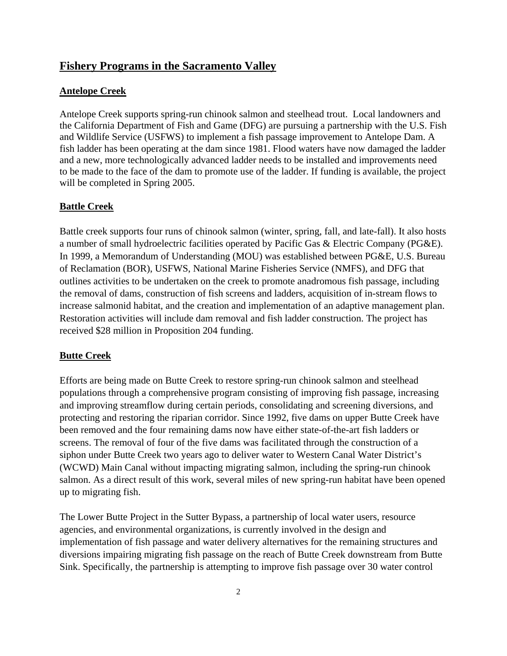# **Fishery Programs in the Sacramento Valley**

### **Antelope Creek**

Antelope Creek supports spring-run chinook salmon and steelhead trout. Local landowners and the California Department of Fish and Game (DFG) are pursuing a partnership with the U.S. Fish and Wildlife Service (USFWS) to implement a fish passage improvement to Antelope Dam. A fish ladder has been operating at the dam since 1981. Flood waters have now damaged the ladder and a new, more technologically advanced ladder needs to be installed and improvements need to be made to the face of the dam to promote use of the ladder. If funding is available, the project will be completed in Spring 2005.

# **Battle Creek**

Battle creek supports four runs of chinook salmon (winter, spring, fall, and late-fall). It also hosts a number of small hydroelectric facilities operated by Pacific Gas & Electric Company (PG&E). In 1999, a Memorandum of Understanding (MOU) was established between PG&E, U.S. Bureau of Reclamation (BOR), USFWS, National Marine Fisheries Service (NMFS), and DFG that outlines activities to be undertaken on the creek to promote anadromous fish passage, including the removal of dams, construction of fish screens and ladders, acquisition of in-stream flows to increase salmonid habitat, and the creation and implementation of an adaptive management plan. Restoration activities will include dam removal and fish ladder construction. The project has received \$28 million in Proposition 204 funding.

# **Butte Creek**

Efforts are being made on Butte Creek to restore spring-run chinook salmon and steelhead populations through a comprehensive program consisting of improving fish passage, increasing and improving streamflow during certain periods, consolidating and screening diversions, and protecting and restoring the riparian corridor. Since 1992, five dams on upper Butte Creek have been removed and the four remaining dams now have either state-of-the-art fish ladders or screens. The removal of four of the five dams was facilitated through the construction of a siphon under Butte Creek two years ago to deliver water to Western Canal Water District's (WCWD) Main Canal without impacting migrating salmon, including the spring-run chinook salmon. As a direct result of this work, several miles of new spring-run habitat have been opened up to migrating fish.

The Lower Butte Project in the Sutter Bypass, a partnership of local water users, resource agencies, and environmental organizations, is currently involved in the design and implementation of fish passage and water delivery alternatives for the remaining structures and diversions impairing migrating fish passage on the reach of Butte Creek downstream from Butte Sink. Specifically, the partnership is attempting to improve fish passage over 30 water control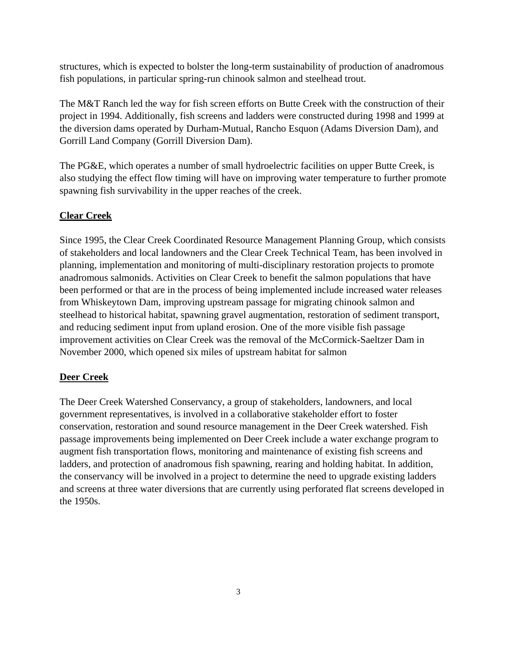structures, which is expected to bolster the long-term sustainability of production of anadromous fish populations, in particular spring-run chinook salmon and steelhead trout.

The M&T Ranch led the way for fish screen efforts on Butte Creek with the construction of their project in 1994. Additionally, fish screens and ladders were constructed during 1998 and 1999 at the diversion dams operated by Durham-Mutual, Rancho Esquon (Adams Diversion Dam), and Gorrill Land Company (Gorrill Diversion Dam).

The PG&E, which operates a number of small hydroelectric facilities on upper Butte Creek, is also studying the effect flow timing will have on improving water temperature to further promote spawning fish survivability in the upper reaches of the creek.

# **Clear Creek**

Since 1995, the Clear Creek Coordinated Resource Management Planning Group, which consists of stakeholders and local landowners and the Clear Creek Technical Team, has been involved in planning, implementation and monitoring of multi-disciplinary restoration projects to promote anadromous salmonids. Activities on Clear Creek to benefit the salmon populations that have been performed or that are in the process of being implemented include increased water releases from Whiskeytown Dam, improving upstream passage for migrating chinook salmon and steelhead to historical habitat, spawning gravel augmentation, restoration of sediment transport, and reducing sediment input from upland erosion. One of the more visible fish passage improvement activities on Clear Creek was the removal of the McCormick-Saeltzer Dam in November 2000, which opened six miles of upstream habitat for salmon

# **Deer Creek**

The Deer Creek Watershed Conservancy, a group of stakeholders, landowners, and local government representatives, is involved in a collaborative stakeholder effort to foster conservation, restoration and sound resource management in the Deer Creek watershed. Fish passage improvements being implemented on Deer Creek include a water exchange program to augment fish transportation flows, monitoring and maintenance of existing fish screens and ladders, and protection of anadromous fish spawning, rearing and holding habitat. In addition, the conservancy will be involved in a project to determine the need to upgrade existing ladders and screens at three water diversions that are currently using perforated flat screens developed in the 1950s.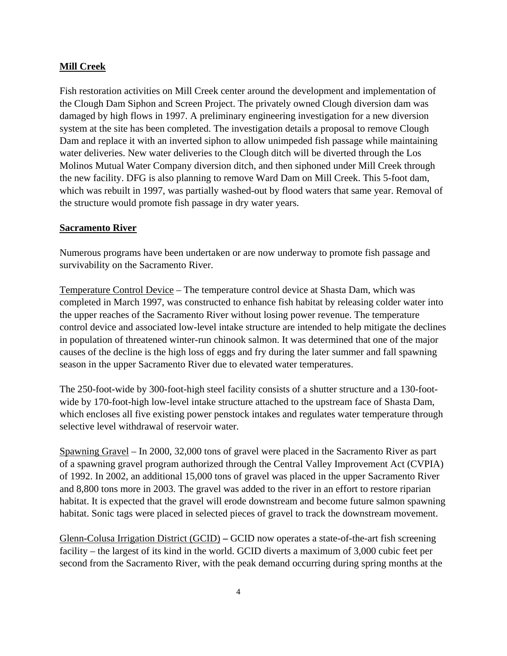#### **Mill Creek**

Fish restoration activities on Mill Creek center around the development and implementation of the Clough Dam Siphon and Screen Project. The privately owned Clough diversion dam was damaged by high flows in 1997. A preliminary engineering investigation for a new diversion system at the site has been completed. The investigation details a proposal to remove Clough Dam and replace it with an inverted siphon to allow unimpeded fish passage while maintaining water deliveries. New water deliveries to the Clough ditch will be diverted through the Los Molinos Mutual Water Company diversion ditch, and then siphoned under Mill Creek through the new facility. DFG is also planning to remove Ward Dam on Mill Creek. This 5-foot dam, which was rebuilt in 1997, was partially washed-out by flood waters that same year. Removal of the structure would promote fish passage in dry water years.

#### **Sacramento River**

Numerous programs have been undertaken or are now underway to promote fish passage and survivability on the Sacramento River.

Temperature Control Device – The temperature control device at Shasta Dam, which was completed in March 1997, was constructed to enhance fish habitat by releasing colder water into the upper reaches of the Sacramento River without losing power revenue. The temperature control device and associated low-level intake structure are intended to help mitigate the declines in population of threatened winter-run chinook salmon. It was determined that one of the major causes of the decline is the high loss of eggs and fry during the later summer and fall spawning season in the upper Sacramento River due to elevated water temperatures.

The 250-foot-wide by 300-foot-high steel facility consists of a shutter structure and a 130-footwide by 170-foot-high low-level intake structure attached to the upstream face of Shasta Dam, which encloses all five existing power penstock intakes and regulates water temperature through selective level withdrawal of reservoir water.

Spawning Gravel – In 2000, 32,000 tons of gravel were placed in the Sacramento River as part of a spawning gravel program authorized through the Central Valley Improvement Act (CVPIA) of 1992. In 2002, an additional 15,000 tons of gravel was placed in the upper Sacramento River and 8,800 tons more in 2003. The gravel was added to the river in an effort to restore riparian habitat. It is expected that the gravel will erode downstream and become future salmon spawning habitat. Sonic tags were placed in selected pieces of gravel to track the downstream movement.

Glenn-Colusa Irrigation District (GCID) **–** GCID now operates a state-of-the-art fish screening facility – the largest of its kind in the world. GCID diverts a maximum of 3,000 cubic feet per second from the Sacramento River, with the peak demand occurring during spring months at the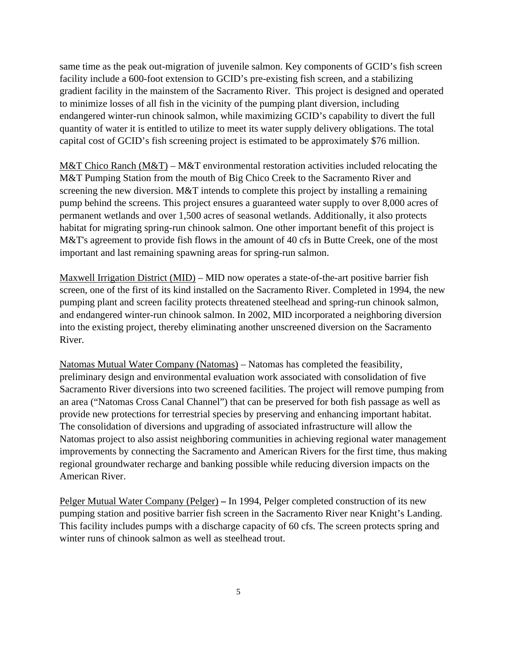same time as the peak out-migration of juvenile salmon. Key components of GCID's fish screen facility include a 600-foot extension to GCID's pre-existing fish screen, and a stabilizing gradient facility in the mainstem of the Sacramento River. This project is designed and operated to minimize losses of all fish in the vicinity of the pumping plant diversion, including endangered winter-run chinook salmon, while maximizing GCID's capability to divert the full quantity of water it is entitled to utilize to meet its water supply delivery obligations. The total capital cost of GCID's fish screening project is estimated to be approximately \$76 million.

M&T Chico Ranch (M&T) – M&T environmental restoration activities included relocating the M&T Pumping Station from the mouth of Big Chico Creek to the Sacramento River and screening the new diversion. M&T intends to complete this project by installing a remaining pump behind the screens. This project ensures a guaranteed water supply to over 8,000 acres of permanent wetlands and over 1,500 acres of seasonal wetlands. Additionally, it also protects habitat for migrating spring-run chinook salmon. One other important benefit of this project is M&T's agreement to provide fish flows in the amount of 40 cfs in Butte Creek, one of the most important and last remaining spawning areas for spring-run salmon.

Maxwell Irrigation District (MID) – MID now operates a state-of-the-art positive barrier fish screen, one of the first of its kind installed on the Sacramento River. Completed in 1994, the new pumping plant and screen facility protects threatened steelhead and spring-run chinook salmon, and endangered winter-run chinook salmon. In 2002, MID incorporated a neighboring diversion into the existing project, thereby eliminating another unscreened diversion on the Sacramento River.

Natomas Mutual Water Company (Natomas) – Natomas has completed the feasibility, preliminary design and environmental evaluation work associated with consolidation of five Sacramento River diversions into two screened facilities. The project will remove pumping from an area ("Natomas Cross Canal Channel") that can be preserved for both fish passage as well as provide new protections for terrestrial species by preserving and enhancing important habitat. The consolidation of diversions and upgrading of associated infrastructure will allow the Natomas project to also assist neighboring communities in achieving regional water management improvements by connecting the Sacramento and American Rivers for the first time, thus making regional groundwater recharge and banking possible while reducing diversion impacts on the American River.

Pelger Mutual Water Company (Pelger) **–** In 1994, Pelger completed construction of its new pumping station and positive barrier fish screen in the Sacramento River near Knight's Landing. This facility includes pumps with a discharge capacity of 60 cfs. The screen protects spring and winter runs of chinook salmon as well as steelhead trout.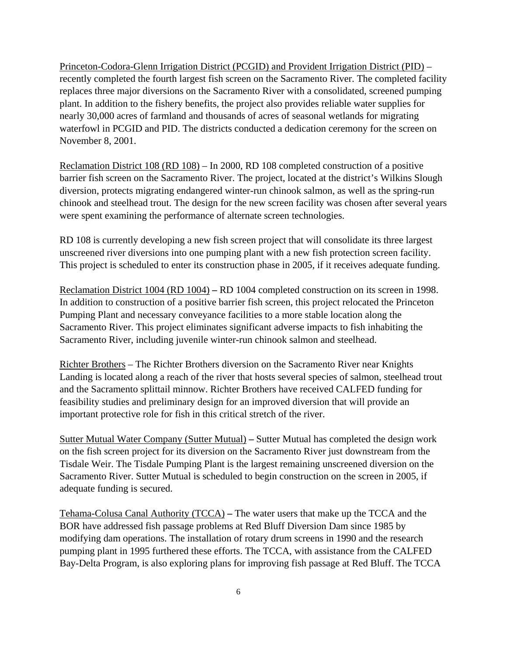Princeton-Codora-Glenn Irrigation District (PCGID) and Provident Irrigation District (PID) – recently completed the fourth largest fish screen on the Sacramento River. The completed facility replaces three major diversions on the Sacramento River with a consolidated, screened pumping plant. In addition to the fishery benefits, the project also provides reliable water supplies for nearly 30,000 acres of farmland and thousands of acres of seasonal wetlands for migrating waterfowl in PCGID and PID. The districts conducted a dedication ceremony for the screen on November 8, 2001.

Reclamation District 108 (RD 108) – In 2000, RD 108 completed construction of a positive barrier fish screen on the Sacramento River. The project, located at the district's Wilkins Slough diversion, protects migrating endangered winter-run chinook salmon, as well as the spring-run chinook and steelhead trout. The design for the new screen facility was chosen after several years were spent examining the performance of alternate screen technologies.

RD 108 is currently developing a new fish screen project that will consolidate its three largest unscreened river diversions into one pumping plant with a new fish protection screen facility. This project is scheduled to enter its construction phase in 2005, if it receives adequate funding.

Reclamation District 1004 (RD 1004) **–** RD 1004 completed construction on its screen in 1998. In addition to construction of a positive barrier fish screen, this project relocated the Princeton Pumping Plant and necessary conveyance facilities to a more stable location along the Sacramento River. This project eliminates significant adverse impacts to fish inhabiting the Sacramento River, including juvenile winter-run chinook salmon and steelhead.

Richter Brothers – The Richter Brothers diversion on the Sacramento River near Knights Landing is located along a reach of the river that hosts several species of salmon, steelhead trout and the Sacramento splittail minnow. Richter Brothers have received CALFED funding for feasibility studies and preliminary design for an improved diversion that will provide an important protective role for fish in this critical stretch of the river.

Sutter Mutual Water Company (Sutter Mutual) **–** Sutter Mutual has completed the design work on the fish screen project for its diversion on the Sacramento River just downstream from the Tisdale Weir. The Tisdale Pumping Plant is the largest remaining unscreened diversion on the Sacramento River. Sutter Mutual is scheduled to begin construction on the screen in 2005, if adequate funding is secured.

Tehama-Colusa Canal Authority (TCCA) **–** The water users that make up the TCCA and the BOR have addressed fish passage problems at Red Bluff Diversion Dam since 1985 by modifying dam operations. The installation of rotary drum screens in 1990 and the research pumping plant in 1995 furthered these efforts. The TCCA, with assistance from the CALFED Bay-Delta Program, is also exploring plans for improving fish passage at Red Bluff. The TCCA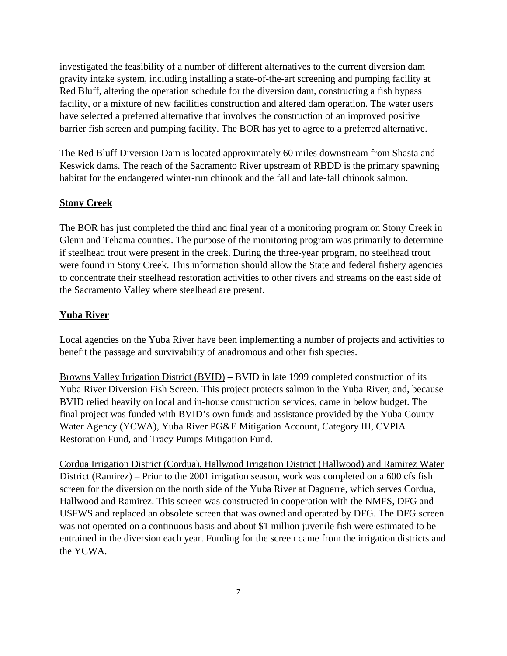investigated the feasibility of a number of different alternatives to the current diversion dam gravity intake system, including installing a state-of-the-art screening and pumping facility at Red Bluff, altering the operation schedule for the diversion dam, constructing a fish bypass facility, or a mixture of new facilities construction and altered dam operation. The water users have selected a preferred alternative that involves the construction of an improved positive barrier fish screen and pumping facility. The BOR has yet to agree to a preferred alternative.

The Red Bluff Diversion Dam is located approximately 60 miles downstream from Shasta and Keswick dams. The reach of the Sacramento River upstream of RBDD is the primary spawning habitat for the endangered winter-run chinook and the fall and late-fall chinook salmon.

#### **Stony Creek**

The BOR has just completed the third and final year of a monitoring program on Stony Creek in Glenn and Tehama counties. The purpose of the monitoring program was primarily to determine if steelhead trout were present in the creek. During the three-year program, no steelhead trout were found in Stony Creek. This information should allow the State and federal fishery agencies to concentrate their steelhead restoration activities to other rivers and streams on the east side of the Sacramento Valley where steelhead are present.

#### **Yuba River**

Local agencies on the Yuba River have been implementing a number of projects and activities to benefit the passage and survivability of anadromous and other fish species.

Browns Valley Irrigation District (BVID) **–** BVID in late 1999 completed construction of its Yuba River Diversion Fish Screen. This project protects salmon in the Yuba River, and, because BVID relied heavily on local and in-house construction services, came in below budget. The final project was funded with BVID's own funds and assistance provided by the Yuba County Water Agency (YCWA), Yuba River PG&E Mitigation Account, Category III, CVPIA Restoration Fund, and Tracy Pumps Mitigation Fund.

Cordua Irrigation District (Cordua), Hallwood Irrigation District (Hallwood) and Ramirez Water District (Ramirez) – Prior to the 2001 irrigation season, work was completed on a 600 cfs fish screen for the diversion on the north side of the Yuba River at Daguerre, which serves Cordua, Hallwood and Ramirez. This screen was constructed in cooperation with the NMFS, DFG and USFWS and replaced an obsolete screen that was owned and operated by DFG. The DFG screen was not operated on a continuous basis and about \$1 million juvenile fish were estimated to be entrained in the diversion each year. Funding for the screen came from the irrigation districts and the YCWA.